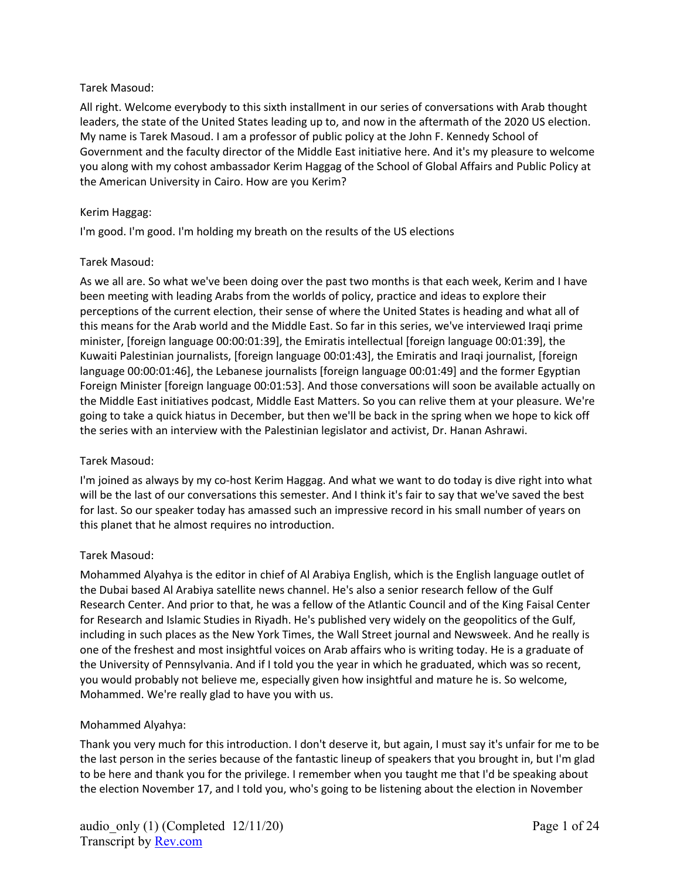### Tarek Masoud:

All right. Welcome everybody to this sixth installment in our series of conversations with Arab thought leaders, the state of the United States leading up to, and now in the aftermath of the 2020 US election. My name is Tarek Masoud. I am a professor of public policy at the John F. Kennedy School of Government and the faculty director of the Middle East initiative here. And it's my pleasure to welcome you along with my cohost ambassador Kerim Haggag of the School of Global Affairs and Public Policy at the American University in Cairo. How are you Kerim?

### Kerim Haggag:

I'm good. I'm good. I'm holding my breath on the results of the US elections

#### Tarek Masoud:

As we all are. So what we've been doing over the past two months is that each week, Kerim and I have been meeting with leading Arabs from the worlds of policy, practice and ideas to explore their perceptions of the current election, their sense of where the United States is heading and what all of this means for the Arab world and the Middle East. So far in this series, we've interviewed Iraqi prime minister, [foreign language 00:00:01:39], the Emiratis intellectual [foreign language 00:01:39], the Kuwaiti Palestinian journalists, [foreign language 00:01:43], the Emiratis and Iraqi journalist, [foreign language 00:00:01:46], the Lebanese journalists [foreign language 00:01:49] and the former Egyptian Foreign Minister [foreign language 00:01:53]. And those conversations will soon be available actually on the Middle East initiatives podcast, Middle East Matters. So you can relive them at your pleasure. We're going to take a quick hiatus in December, but then we'll be back in the spring when we hope to kick off the series with an interview with the Palestinian legislator and activist, Dr. Hanan Ashrawi.

# Tarek Masoud:

I'm joined as always by my co-host Kerim Haggag. And what we want to do today is dive right into what will be the last of our conversations this semester. And I think it's fair to say that we've saved the best for last. So our speaker today has amassed such an impressive record in his small number of years on this planet that he almost requires no introduction.

#### Tarek Masoud:

Mohammed Alyahya is the editor in chief of Al Arabiya English, which is the English language outlet of the Dubai based Al Arabiya satellite news channel. He's also a senior research fellow of the Gulf Research Center. And prior to that, he was a fellow of the Atlantic Council and of the King Faisal Center for Research and Islamic Studies in Riyadh. He's published very widely on the geopolitics of the Gulf, including in such places as the New York Times, the Wall Street journal and Newsweek. And he really is one of the freshest and most insightful voices on Arab affairs who is writing today. He is a graduate of the University of Pennsylvania. And if I told you the year in which he graduated, which was so recent, you would probably not believe me, especially given how insightful and mature he is. So welcome, Mohammed. We're really glad to have you with us.

# Mohammed Alyahya:

Thank you very much for this introduction. I don't deserve it, but again, I must say it's unfair for me to be the last person in the series because of the fantastic lineup of speakers that you brought in, but I'm glad to be here and thank you for the privilege. I remember when you taught me that I'd be speaking about the election November 17, and I told you, who's going to be listening about the election in November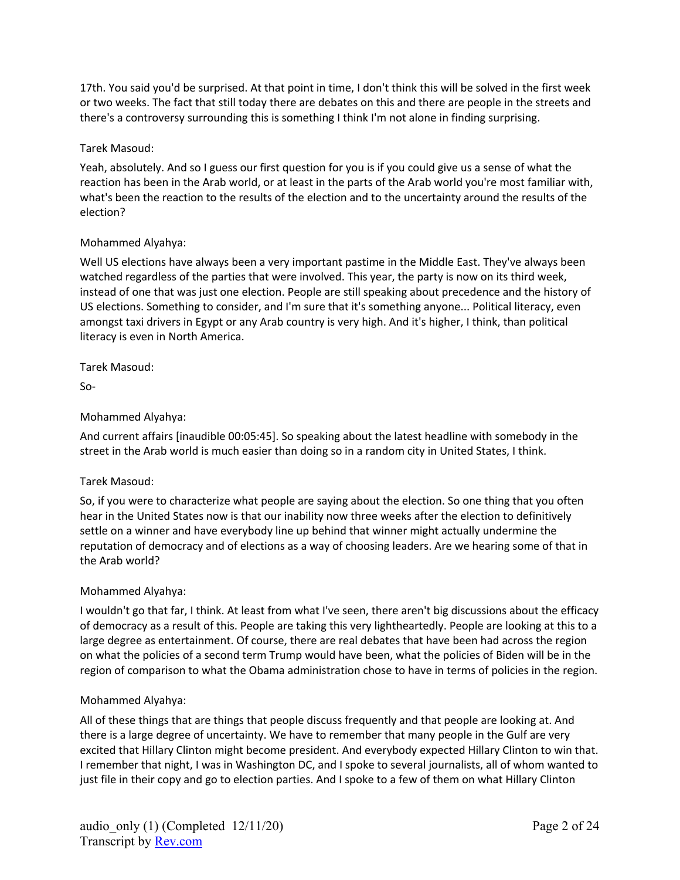17th. You said you'd be surprised. At that point in time, I don't think this will be solved in the first week or two weeks. The fact that still today there are debates on this and there are people in the streets and there's a controversy surrounding this is something I think I'm not alone in finding surprising.

#### Tarek Masoud:

Yeah, absolutely. And so I guess our first question for you is if you could give us a sense of what the reaction has been in the Arab world, or at least in the parts of the Arab world you're most familiar with, what's been the reaction to the results of the election and to the uncertainty around the results of the election?

#### Mohammed Alyahya:

Well US elections have always been a very important pastime in the Middle East. They've always been watched regardless of the parties that were involved. This year, the party is now on its third week, instead of one that was just one election. People are still speaking about precedence and the history of US elections. Something to consider, and I'm sure that it's something anyone... Political literacy, even amongst taxi drivers in Egypt or any Arab country is very high. And it's higher, I think, than political literacy is even in North America.

Tarek Masoud:

So-

#### Mohammed Alyahya:

And current affairs [inaudible 00:05:45]. So speaking about the latest headline with somebody in the street in the Arab world is much easier than doing so in a random city in United States, I think.

#### Tarek Masoud:

So, if you were to characterize what people are saying about the election. So one thing that you often hear in the United States now is that our inability now three weeks after the election to definitively settle on a winner and have everybody line up behind that winner might actually undermine the reputation of democracy and of elections as a way of choosing leaders. Are we hearing some of that in the Arab world?

#### Mohammed Alyahya:

I wouldn't go that far, I think. At least from what I've seen, there aren't big discussions about the efficacy of democracy as a result of this. People are taking this very lightheartedly. People are looking at this to a large degree as entertainment. Of course, there are real debates that have been had across the region on what the policies of a second term Trump would have been, what the policies of Biden will be in the region of comparison to what the Obama administration chose to have in terms of policies in the region.

#### Mohammed Alyahya:

All of these things that are things that people discuss frequently and that people are looking at. And there is a large degree of uncertainty. We have to remember that many people in the Gulf are very excited that Hillary Clinton might become president. And everybody expected Hillary Clinton to win that. I remember that night, I was in Washington DC, and I spoke to several journalists, all of whom wanted to just file in their copy and go to election parties. And I spoke to a few of them on what Hillary Clinton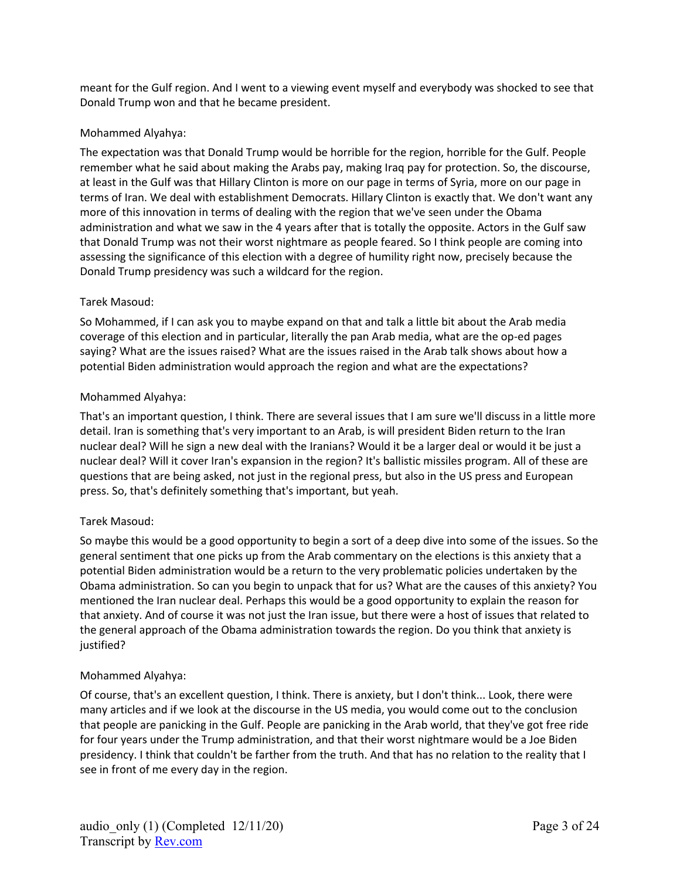meant for the Gulf region. And I went to a viewing event myself and everybody was shocked to see that Donald Trump won and that he became president.

## Mohammed Alyahya:

The expectation was that Donald Trump would be horrible for the region, horrible for the Gulf. People remember what he said about making the Arabs pay, making Iraq pay for protection. So, the discourse, at least in the Gulf was that Hillary Clinton is more on our page in terms of Syria, more on our page in terms of Iran. We deal with establishment Democrats. Hillary Clinton is exactly that. We don't want any more of this innovation in terms of dealing with the region that we've seen under the Obama administration and what we saw in the 4 years after that is totally the opposite. Actors in the Gulf saw that Donald Trump was not their worst nightmare as people feared. So I think people are coming into assessing the significance of this election with a degree of humility right now, precisely because the Donald Trump presidency was such a wildcard for the region.

## Tarek Masoud:

So Mohammed, if I can ask you to maybe expand on that and talk a little bit about the Arab media coverage of this election and in particular, literally the pan Arab media, what are the op-ed pages saying? What are the issues raised? What are the issues raised in the Arab talk shows about how a potential Biden administration would approach the region and what are the expectations?

## Mohammed Alyahya:

That's an important question, I think. There are several issues that I am sure we'll discuss in a little more detail. Iran is something that's very important to an Arab, is will president Biden return to the Iran nuclear deal? Will he sign a new deal with the Iranians? Would it be a larger deal or would it be just a nuclear deal? Will it cover Iran's expansion in the region? It's ballistic missiles program. All of these are questions that are being asked, not just in the regional press, but also in the US press and European press. So, that's definitely something that's important, but yeah.

#### Tarek Masoud:

So maybe this would be a good opportunity to begin a sort of a deep dive into some of the issues. So the general sentiment that one picks up from the Arab commentary on the elections is this anxiety that a potential Biden administration would be a return to the very problematic policies undertaken by the Obama administration. So can you begin to unpack that for us? What are the causes of this anxiety? You mentioned the Iran nuclear deal. Perhaps this would be a good opportunity to explain the reason for that anxiety. And of course it was not just the Iran issue, but there were a host of issues that related to the general approach of the Obama administration towards the region. Do you think that anxiety is justified?

#### Mohammed Alyahya:

Of course, that's an excellent question, I think. There is anxiety, but I don't think... Look, there were many articles and if we look at the discourse in the US media, you would come out to the conclusion that people are panicking in the Gulf. People are panicking in the Arab world, that they've got free ride for four years under the Trump administration, and that their worst nightmare would be a Joe Biden presidency. I think that couldn't be farther from the truth. And that has no relation to the reality that I see in front of me every day in the region.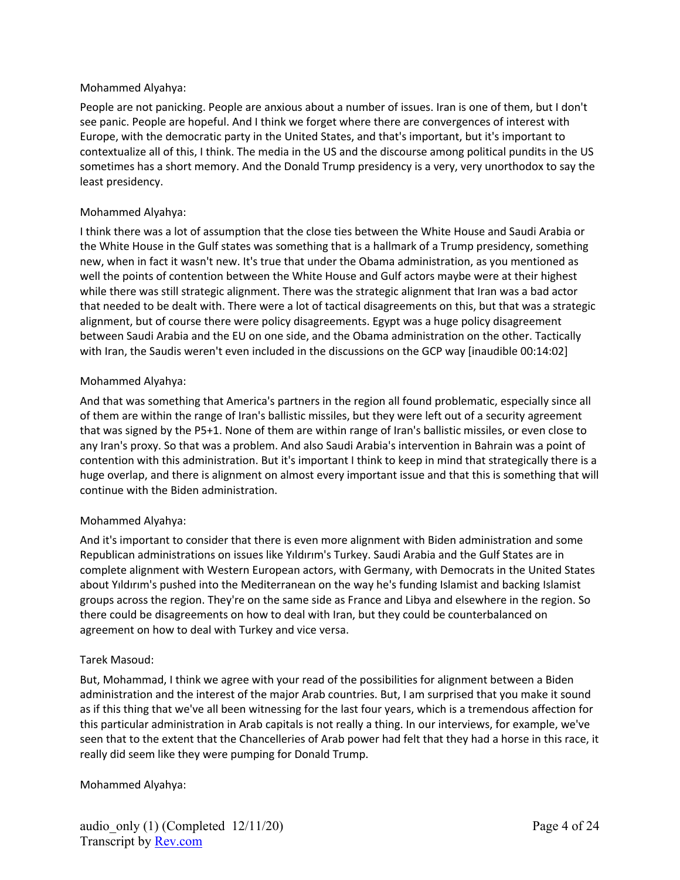#### Mohammed Alyahya:

People are not panicking. People are anxious about a number of issues. Iran is one of them, but I don't see panic. People are hopeful. And I think we forget where there are convergences of interest with Europe, with the democratic party in the United States, and that's important, but it's important to contextualize all of this, I think. The media in the US and the discourse among political pundits in the US sometimes has a short memory. And the Donald Trump presidency is a very, very unorthodox to say the least presidency.

### Mohammed Alyahya:

I think there was a lot of assumption that the close ties between the White House and Saudi Arabia or the White House in the Gulf states was something that is a hallmark of a Trump presidency, something new, when in fact it wasn't new. It's true that under the Obama administration, as you mentioned as well the points of contention between the White House and Gulf actors maybe were at their highest while there was still strategic alignment. There was the strategic alignment that Iran was a bad actor that needed to be dealt with. There were a lot of tactical disagreements on this, but that was a strategic alignment, but of course there were policy disagreements. Egypt was a huge policy disagreement between Saudi Arabia and the EU on one side, and the Obama administration on the other. Tactically with Iran, the Saudis weren't even included in the discussions on the GCP way [inaudible 00:14:02]

## Mohammed Alyahya:

And that was something that America's partners in the region all found problematic, especially since all of them are within the range of Iran's ballistic missiles, but they were left out of a security agreement that was signed by the P5+1. None of them are within range of Iran's ballistic missiles, or even close to any Iran's proxy. So that was a problem. And also Saudi Arabia's intervention in Bahrain was a point of contention with this administration. But it's important I think to keep in mind that strategically there is a huge overlap, and there is alignment on almost every important issue and that this is something that will continue with the Biden administration.

#### Mohammed Alyahya:

And it's important to consider that there is even more alignment with Biden administration and some Republican administrations on issues like Yıldırım's Turkey. Saudi Arabia and the Gulf States are in complete alignment with Western European actors, with Germany, with Democrats in the United States about Yıldırım's pushed into the Mediterranean on the way he's funding Islamist and backing Islamist groups across the region. They're on the same side as France and Libya and elsewhere in the region. So there could be disagreements on how to deal with Iran, but they could be counterbalanced on agreement on how to deal with Turkey and vice versa.

#### Tarek Masoud:

But, Mohammad, I think we agree with your read of the possibilities for alignment between a Biden administration and the interest of the major Arab countries. But, I am surprised that you make it sound as if this thing that we've all been witnessing for the last four years, which is a tremendous affection for this particular administration in Arab capitals is not really a thing. In our interviews, for example, we've seen that to the extent that the Chancelleries of Arab power had felt that they had a horse in this race, it really did seem like they were pumping for Donald Trump.

#### Mohammed Alyahya: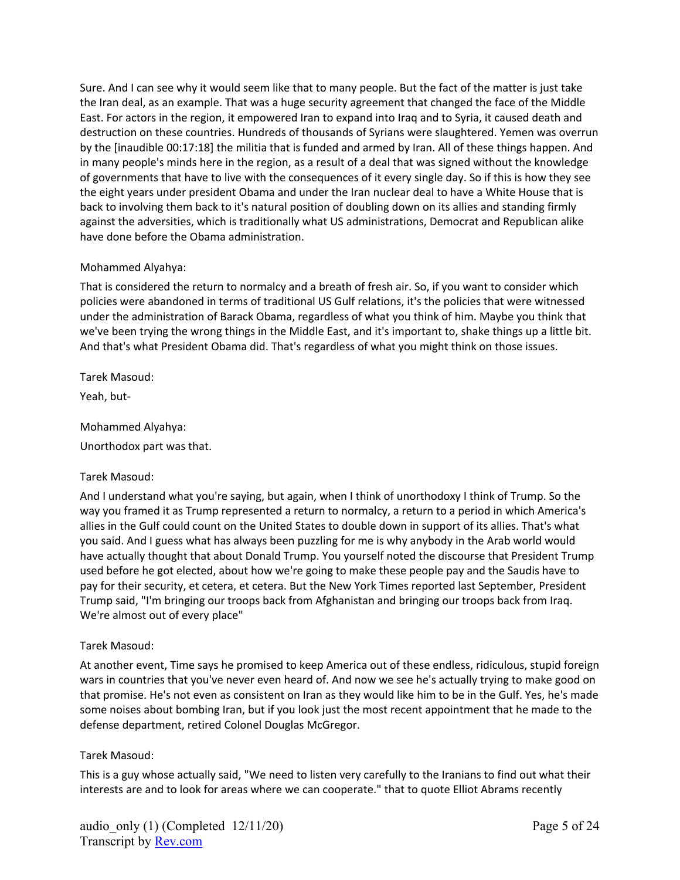Sure. And I can see why it would seem like that to many people. But the fact of the matter is just take the Iran deal, as an example. That was a huge security agreement that changed the face of the Middle East. For actors in the region, it empowered Iran to expand into Iraq and to Syria, it caused death and destruction on these countries. Hundreds of thousands of Syrians were slaughtered. Yemen was overrun by the [inaudible 00:17:18] the militia that is funded and armed by Iran. All of these things happen. And in many people's minds here in the region, as a result of a deal that was signed without the knowledge of governments that have to live with the consequences of it every single day. So if this is how they see the eight years under president Obama and under the Iran nuclear deal to have a White House that is back to involving them back to it's natural position of doubling down on its allies and standing firmly against the adversities, which is traditionally what US administrations, Democrat and Republican alike have done before the Obama administration.

#### Mohammed Alyahya:

That is considered the return to normalcy and a breath of fresh air. So, if you want to consider which policies were abandoned in terms of traditional US Gulf relations, it's the policies that were witnessed under the administration of Barack Obama, regardless of what you think of him. Maybe you think that we've been trying the wrong things in the Middle East, and it's important to, shake things up a little bit. And that's what President Obama did. That's regardless of what you might think on those issues.

Tarek Masoud:

Yeah, but-

Mohammed Alyahya:

Unorthodox part was that.

# Tarek Masoud:

And I understand what you're saying, but again, when I think of unorthodoxy I think of Trump. So the way you framed it as Trump represented a return to normalcy, a return to a period in which America's allies in the Gulf could count on the United States to double down in support of its allies. That's what you said. And I guess what has always been puzzling for me is why anybody in the Arab world would have actually thought that about Donald Trump. You yourself noted the discourse that President Trump used before he got elected, about how we're going to make these people pay and the Saudis have to pay for their security, et cetera, et cetera. But the New York Times reported last September, President Trump said, "I'm bringing our troops back from Afghanistan and bringing our troops back from Iraq. We're almost out of every place"

#### Tarek Masoud:

At another event, Time says he promised to keep America out of these endless, ridiculous, stupid foreign wars in countries that you've never even heard of. And now we see he's actually trying to make good on that promise. He's not even as consistent on Iran as they would like him to be in the Gulf. Yes, he's made some noises about bombing Iran, but if you look just the most recent appointment that he made to the defense department, retired Colonel Douglas McGregor.

#### Tarek Masoud:

This is a guy whose actually said, "We need to listen very carefully to the Iranians to find out what their interests are and to look for areas where we can cooperate." that to quote Elliot Abrams recently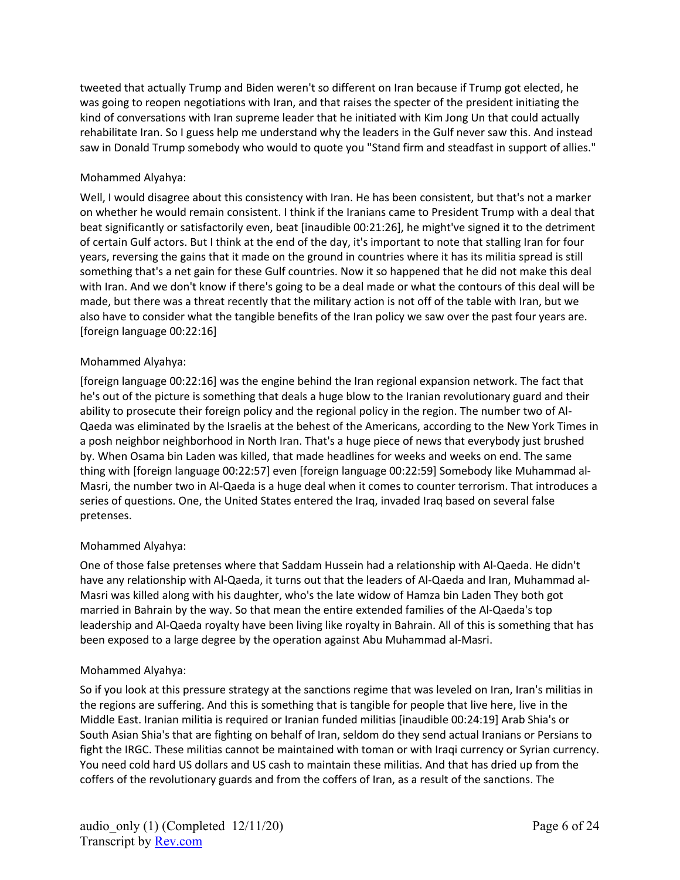tweeted that actually Trump and Biden weren't so different on Iran because if Trump got elected, he was going to reopen negotiations with Iran, and that raises the specter of the president initiating the kind of conversations with Iran supreme leader that he initiated with Kim Jong Un that could actually rehabilitate Iran. So I guess help me understand why the leaders in the Gulf never saw this. And instead saw in Donald Trump somebody who would to quote you "Stand firm and steadfast in support of allies."

## Mohammed Alyahya:

Well, I would disagree about this consistency with Iran. He has been consistent, but that's not a marker on whether he would remain consistent. I think if the Iranians came to President Trump with a deal that beat significantly or satisfactorily even, beat [inaudible 00:21:26], he might've signed it to the detriment of certain Gulf actors. But I think at the end of the day, it's important to note that stalling Iran for four years, reversing the gains that it made on the ground in countries where it has its militia spread is still something that's a net gain for these Gulf countries. Now it so happened that he did not make this deal with Iran. And we don't know if there's going to be a deal made or what the contours of this deal will be made, but there was a threat recently that the military action is not off of the table with Iran, but we also have to consider what the tangible benefits of the Iran policy we saw over the past four years are. [foreign language 00:22:16]

## Mohammed Alyahya:

[foreign language 00:22:16] was the engine behind the Iran regional expansion network. The fact that he's out of the picture is something that deals a huge blow to the Iranian revolutionary guard and their ability to prosecute their foreign policy and the regional policy in the region. The number two of Al-Qaeda was eliminated by the Israelis at the behest of the Americans, according to the New York Times in a posh neighbor neighborhood in North Iran. That's a huge piece of news that everybody just brushed by. When Osama bin Laden was killed, that made headlines for weeks and weeks on end. The same thing with [foreign language 00:22:57] even [foreign language 00:22:59] Somebody like Muhammad al-Masri, the number two in Al-Qaeda is a huge deal when it comes to counter terrorism. That introduces a series of questions. One, the United States entered the Iraq, invaded Iraq based on several false pretenses.

#### Mohammed Alyahya:

One of those false pretenses where that Saddam Hussein had a relationship with Al-Qaeda. He didn't have any relationship with Al-Qaeda, it turns out that the leaders of Al-Qaeda and Iran, Muhammad al-Masri was killed along with his daughter, who's the late widow of Hamza bin Laden They both got married in Bahrain by the way. So that mean the entire extended families of the Al-Qaeda's top leadership and Al-Qaeda royalty have been living like royalty in Bahrain. All of this is something that has been exposed to a large degree by the operation against Abu Muhammad al-Masri.

#### Mohammed Alyahya:

So if you look at this pressure strategy at the sanctions regime that was leveled on Iran, Iran's militias in the regions are suffering. And this is something that is tangible for people that live here, live in the Middle East. Iranian militia is required or Iranian funded militias [inaudible 00:24:19] Arab Shia's or South Asian Shia's that are fighting on behalf of Iran, seldom do they send actual Iranians or Persians to fight the IRGC. These militias cannot be maintained with toman or with Iraqi currency or Syrian currency. You need cold hard US dollars and US cash to maintain these militias. And that has dried up from the coffers of the revolutionary guards and from the coffers of Iran, as a result of the sanctions. The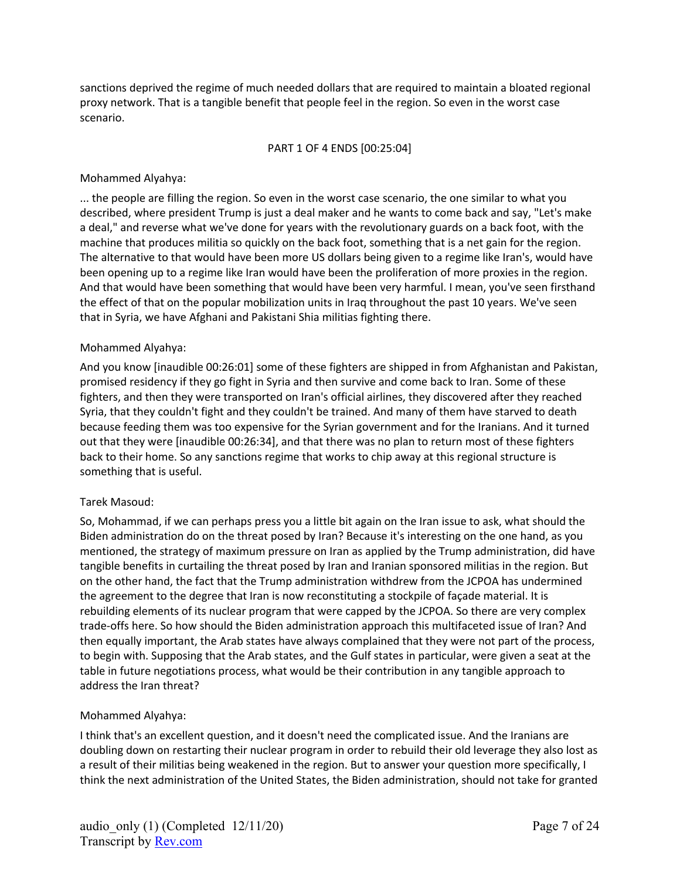sanctions deprived the regime of much needed dollars that are required to maintain a bloated regional proxy network. That is a tangible benefit that people feel in the region. So even in the worst case scenario.

#### PART 1 OF 4 ENDS [00:25:04]

#### Mohammed Alyahya:

... the people are filling the region. So even in the worst case scenario, the one similar to what you described, where president Trump is just a deal maker and he wants to come back and say, "Let's make a deal," and reverse what we've done for years with the revolutionary guards on a back foot, with the machine that produces militia so quickly on the back foot, something that is a net gain for the region. The alternative to that would have been more US dollars being given to a regime like Iran's, would have been opening up to a regime like Iran would have been the proliferation of more proxies in the region. And that would have been something that would have been very harmful. I mean, you've seen firsthand the effect of that on the popular mobilization units in Iraq throughout the past 10 years. We've seen that in Syria, we have Afghani and Pakistani Shia militias fighting there.

## Mohammed Alyahya:

And you know [inaudible 00:26:01] some of these fighters are shipped in from Afghanistan and Pakistan, promised residency if they go fight in Syria and then survive and come back to Iran. Some of these fighters, and then they were transported on Iran's official airlines, they discovered after they reached Syria, that they couldn't fight and they couldn't be trained. And many of them have starved to death because feeding them was too expensive for the Syrian government and for the Iranians. And it turned out that they were [inaudible 00:26:34], and that there was no plan to return most of these fighters back to their home. So any sanctions regime that works to chip away at this regional structure is something that is useful.

#### Tarek Masoud:

So, Mohammad, if we can perhaps press you a little bit again on the Iran issue to ask, what should the Biden administration do on the threat posed by Iran? Because it's interesting on the one hand, as you mentioned, the strategy of maximum pressure on Iran as applied by the Trump administration, did have tangible benefits in curtailing the threat posed by Iran and Iranian sponsored militias in the region. But on the other hand, the fact that the Trump administration withdrew from the JCPOA has undermined the agreement to the degree that Iran is now reconstituting a stockpile of façade material. It is rebuilding elements of its nuclear program that were capped by the JCPOA. So there are very complex trade-offs here. So how should the Biden administration approach this multifaceted issue of Iran? And then equally important, the Arab states have always complained that they were not part of the process, to begin with. Supposing that the Arab states, and the Gulf states in particular, were given a seat at the table in future negotiations process, what would be their contribution in any tangible approach to address the Iran threat?

#### Mohammed Alyahya:

I think that's an excellent question, and it doesn't need the complicated issue. And the Iranians are doubling down on restarting their nuclear program in order to rebuild their old leverage they also lost as a result of their militias being weakened in the region. But to answer your question more specifically, I think the next administration of the United States, the Biden administration, should not take for granted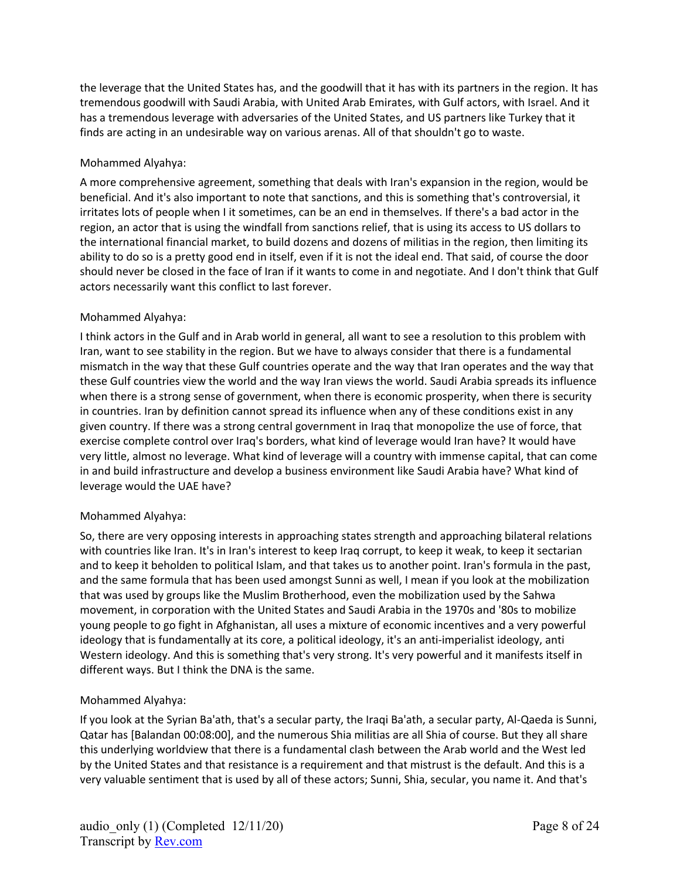the leverage that the United States has, and the goodwill that it has with its partners in the region. It has tremendous goodwill with Saudi Arabia, with United Arab Emirates, with Gulf actors, with Israel. And it has a tremendous leverage with adversaries of the United States, and US partners like Turkey that it finds are acting in an undesirable way on various arenas. All of that shouldn't go to waste.

## Mohammed Alyahya:

A more comprehensive agreement, something that deals with Iran's expansion in the region, would be beneficial. And it's also important to note that sanctions, and this is something that's controversial, it irritates lots of people when I it sometimes, can be an end in themselves. If there's a bad actor in the region, an actor that is using the windfall from sanctions relief, that is using its access to US dollars to the international financial market, to build dozens and dozens of militias in the region, then limiting its ability to do so is a pretty good end in itself, even if it is not the ideal end. That said, of course the door should never be closed in the face of Iran if it wants to come in and negotiate. And I don't think that Gulf actors necessarily want this conflict to last forever.

## Mohammed Alyahya:

I think actors in the Gulf and in Arab world in general, all want to see a resolution to this problem with Iran, want to see stability in the region. But we have to always consider that there is a fundamental mismatch in the way that these Gulf countries operate and the way that Iran operates and the way that these Gulf countries view the world and the way Iran views the world. Saudi Arabia spreads its influence when there is a strong sense of government, when there is economic prosperity, when there is security in countries. Iran by definition cannot spread its influence when any of these conditions exist in any given country. If there was a strong central government in Iraq that monopolize the use of force, that exercise complete control over Iraq's borders, what kind of leverage would Iran have? It would have very little, almost no leverage. What kind of leverage will a country with immense capital, that can come in and build infrastructure and develop a business environment like Saudi Arabia have? What kind of leverage would the UAE have?

#### Mohammed Alyahya:

So, there are very opposing interests in approaching states strength and approaching bilateral relations with countries like Iran. It's in Iran's interest to keep Iraq corrupt, to keep it weak, to keep it sectarian and to keep it beholden to political Islam, and that takes us to another point. Iran's formula in the past, and the same formula that has been used amongst Sunni as well, I mean if you look at the mobilization that was used by groups like the Muslim Brotherhood, even the mobilization used by the Sahwa movement, in corporation with the United States and Saudi Arabia in the 1970s and '80s to mobilize young people to go fight in Afghanistan, all uses a mixture of economic incentives and a very powerful ideology that is fundamentally at its core, a political ideology, it's an anti-imperialist ideology, anti Western ideology. And this is something that's very strong. It's very powerful and it manifests itself in different ways. But I think the DNA is the same.

# Mohammed Alyahya:

If you look at the Syrian Ba'ath, that's a secular party, the Iraqi Ba'ath, a secular party, Al-Qaeda is Sunni, Qatar has [Balandan 00:08:00], and the numerous Shia militias are all Shia of course. But they all share this underlying worldview that there is a fundamental clash between the Arab world and the West led by the United States and that resistance is a requirement and that mistrust is the default. And this is a very valuable sentiment that is used by all of these actors; Sunni, Shia, secular, you name it. And that's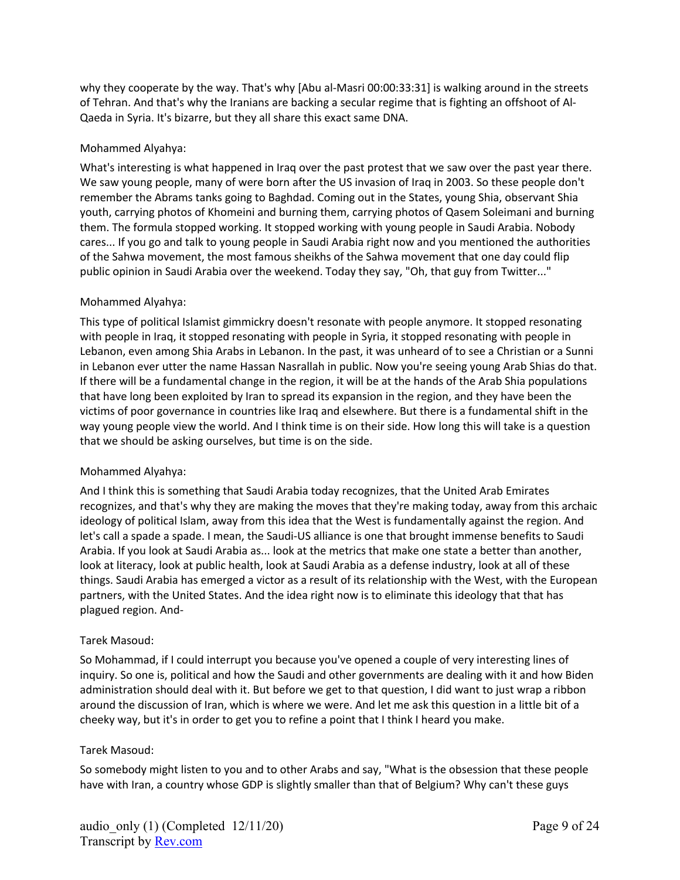why they cooperate by the way. That's why [Abu al-Masri 00:00:33:31] is walking around in the streets of Tehran. And that's why the Iranians are backing a secular regime that is fighting an offshoot of Al-Qaeda in Syria. It's bizarre, but they all share this exact same DNA.

### Mohammed Alyahya:

What's interesting is what happened in Iraq over the past protest that we saw over the past year there. We saw young people, many of were born after the US invasion of Iraq in 2003. So these people don't remember the Abrams tanks going to Baghdad. Coming out in the States, young Shia, observant Shia youth, carrying photos of Khomeini and burning them, carrying photos of Qasem Soleimani and burning them. The formula stopped working. It stopped working with young people in Saudi Arabia. Nobody cares... If you go and talk to young people in Saudi Arabia right now and you mentioned the authorities of the Sahwa movement, the most famous sheikhs of the Sahwa movement that one day could flip public opinion in Saudi Arabia over the weekend. Today they say, "Oh, that guy from Twitter..."

## Mohammed Alyahya:

This type of political Islamist gimmickry doesn't resonate with people anymore. It stopped resonating with people in Iraq, it stopped resonating with people in Syria, it stopped resonating with people in Lebanon, even among Shia Arabs in Lebanon. In the past, it was unheard of to see a Christian or a Sunni in Lebanon ever utter the name Hassan Nasrallah in public. Now you're seeing young Arab Shias do that. If there will be a fundamental change in the region, it will be at the hands of the Arab Shia populations that have long been exploited by Iran to spread its expansion in the region, and they have been the victims of poor governance in countries like Iraq and elsewhere. But there is a fundamental shift in the way young people view the world. And I think time is on their side. How long this will take is a question that we should be asking ourselves, but time is on the side.

#### Mohammed Alyahya:

And I think this is something that Saudi Arabia today recognizes, that the United Arab Emirates recognizes, and that's why they are making the moves that they're making today, away from this archaic ideology of political Islam, away from this idea that the West is fundamentally against the region. And let's call a spade a spade. I mean, the Saudi-US alliance is one that brought immense benefits to Saudi Arabia. If you look at Saudi Arabia as... look at the metrics that make one state a better than another, look at literacy, look at public health, look at Saudi Arabia as a defense industry, look at all of these things. Saudi Arabia has emerged a victor as a result of its relationship with the West, with the European partners, with the United States. And the idea right now is to eliminate this ideology that that has plagued region. And-

#### Tarek Masoud:

So Mohammad, if I could interrupt you because you've opened a couple of very interesting lines of inquiry. So one is, political and how the Saudi and other governments are dealing with it and how Biden administration should deal with it. But before we get to that question, I did want to just wrap a ribbon around the discussion of Iran, which is where we were. And let me ask this question in a little bit of a cheeky way, but it's in order to get you to refine a point that I think I heard you make.

#### Tarek Masoud:

So somebody might listen to you and to other Arabs and say, "What is the obsession that these people have with Iran, a country whose GDP is slightly smaller than that of Belgium? Why can't these guys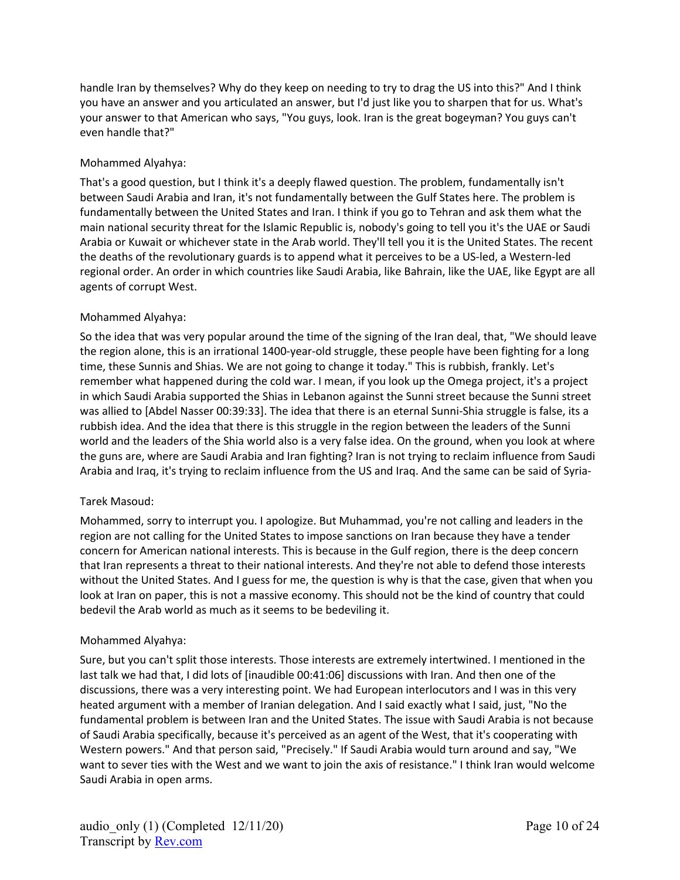handle Iran by themselves? Why do they keep on needing to try to drag the US into this?" And I think you have an answer and you articulated an answer, but I'd just like you to sharpen that for us. What's your answer to that American who says, "You guys, look. Iran is the great bogeyman? You guys can't even handle that?"

## Mohammed Alyahya:

That's a good question, but I think it's a deeply flawed question. The problem, fundamentally isn't between Saudi Arabia and Iran, it's not fundamentally between the Gulf States here. The problem is fundamentally between the United States and Iran. I think if you go to Tehran and ask them what the main national security threat for the Islamic Republic is, nobody's going to tell you it's the UAE or Saudi Arabia or Kuwait or whichever state in the Arab world. They'll tell you it is the United States. The recent the deaths of the revolutionary guards is to append what it perceives to be a US-led, a Western-led regional order. An order in which countries like Saudi Arabia, like Bahrain, like the UAE, like Egypt are all agents of corrupt West.

## Mohammed Alyahya:

So the idea that was very popular around the time of the signing of the Iran deal, that, "We should leave the region alone, this is an irrational 1400-year-old struggle, these people have been fighting for a long time, these Sunnis and Shias. We are not going to change it today." This is rubbish, frankly. Let's remember what happened during the cold war. I mean, if you look up the Omega project, it's a project in which Saudi Arabia supported the Shias in Lebanon against the Sunni street because the Sunni street was allied to [Abdel Nasser 00:39:33]. The idea that there is an eternal Sunni-Shia struggle is false, its a rubbish idea. And the idea that there is this struggle in the region between the leaders of the Sunni world and the leaders of the Shia world also is a very false idea. On the ground, when you look at where the guns are, where are Saudi Arabia and Iran fighting? Iran is not trying to reclaim influence from Saudi Arabia and Iraq, it's trying to reclaim influence from the US and Iraq. And the same can be said of Syria-

#### Tarek Masoud:

Mohammed, sorry to interrupt you. I apologize. But Muhammad, you're not calling and leaders in the region are not calling for the United States to impose sanctions on Iran because they have a tender concern for American national interests. This is because in the Gulf region, there is the deep concern that Iran represents a threat to their national interests. And they're not able to defend those interests without the United States. And I guess for me, the question is why is that the case, given that when you look at Iran on paper, this is not a massive economy. This should not be the kind of country that could bedevil the Arab world as much as it seems to be bedeviling it.

#### Mohammed Alyahya:

Sure, but you can't split those interests. Those interests are extremely intertwined. I mentioned in the last talk we had that, I did lots of [inaudible 00:41:06] discussions with Iran. And then one of the discussions, there was a very interesting point. We had European interlocutors and I was in this very heated argument with a member of Iranian delegation. And I said exactly what I said, just, "No the fundamental problem is between Iran and the United States. The issue with Saudi Arabia is not because of Saudi Arabia specifically, because it's perceived as an agent of the West, that it's cooperating with Western powers." And that person said, "Precisely." If Saudi Arabia would turn around and say, "We want to sever ties with the West and we want to join the axis of resistance." I think Iran would welcome Saudi Arabia in open arms.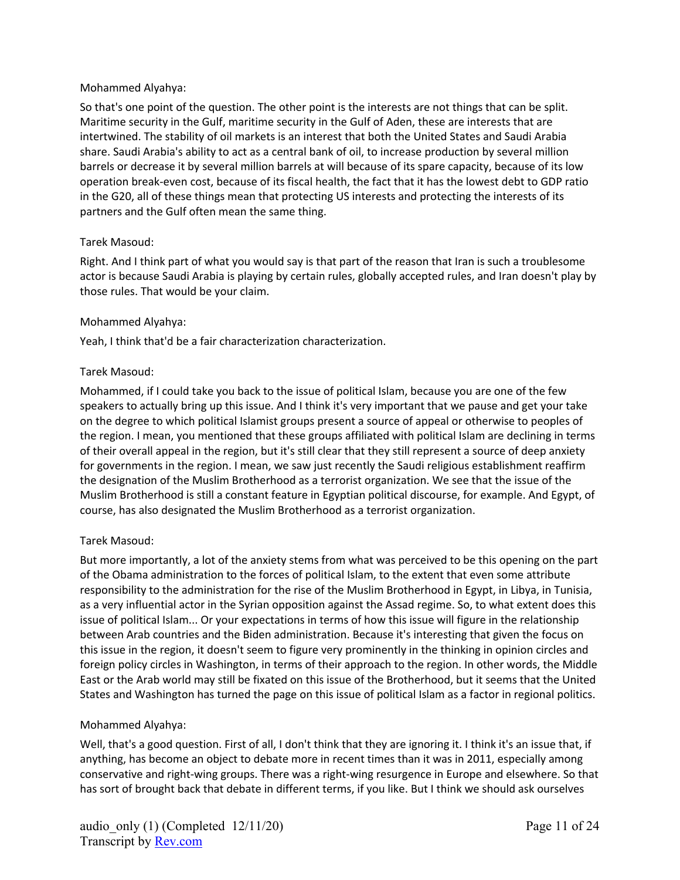#### Mohammed Alyahya:

So that's one point of the question. The other point is the interests are not things that can be split. Maritime security in the Gulf, maritime security in the Gulf of Aden, these are interests that are intertwined. The stability of oil markets is an interest that both the United States and Saudi Arabia share. Saudi Arabia's ability to act as a central bank of oil, to increase production by several million barrels or decrease it by several million barrels at will because of its spare capacity, because of its low operation break-even cost, because of its fiscal health, the fact that it has the lowest debt to GDP ratio in the G20, all of these things mean that protecting US interests and protecting the interests of its partners and the Gulf often mean the same thing.

#### Tarek Masoud:

Right. And I think part of what you would say is that part of the reason that Iran is such a troublesome actor is because Saudi Arabia is playing by certain rules, globally accepted rules, and Iran doesn't play by those rules. That would be your claim.

#### Mohammed Alyahya:

Yeah, I think that'd be a fair characterization characterization.

#### Tarek Masoud:

Mohammed, if I could take you back to the issue of political Islam, because you are one of the few speakers to actually bring up this issue. And I think it's very important that we pause and get your take on the degree to which political Islamist groups present a source of appeal or otherwise to peoples of the region. I mean, you mentioned that these groups affiliated with political Islam are declining in terms of their overall appeal in the region, but it's still clear that they still represent a source of deep anxiety for governments in the region. I mean, we saw just recently the Saudi religious establishment reaffirm the designation of the Muslim Brotherhood as a terrorist organization. We see that the issue of the Muslim Brotherhood is still a constant feature in Egyptian political discourse, for example. And Egypt, of course, has also designated the Muslim Brotherhood as a terrorist organization.

#### Tarek Masoud:

But more importantly, a lot of the anxiety stems from what was perceived to be this opening on the part of the Obama administration to the forces of political Islam, to the extent that even some attribute responsibility to the administration for the rise of the Muslim Brotherhood in Egypt, in Libya, in Tunisia, as a very influential actor in the Syrian opposition against the Assad regime. So, to what extent does this issue of political Islam... Or your expectations in terms of how this issue will figure in the relationship between Arab countries and the Biden administration. Because it's interesting that given the focus on this issue in the region, it doesn't seem to figure very prominently in the thinking in opinion circles and foreign policy circles in Washington, in terms of their approach to the region. In other words, the Middle East or the Arab world may still be fixated on this issue of the Brotherhood, but it seems that the United States and Washington has turned the page on this issue of political Islam as a factor in regional politics.

#### Mohammed Alyahya:

Well, that's a good question. First of all, I don't think that they are ignoring it. I think it's an issue that, if anything, has become an object to debate more in recent times than it was in 2011, especially among conservative and right-wing groups. There was a right-wing resurgence in Europe and elsewhere. So that has sort of brought back that debate in different terms, if you like. But I think we should ask ourselves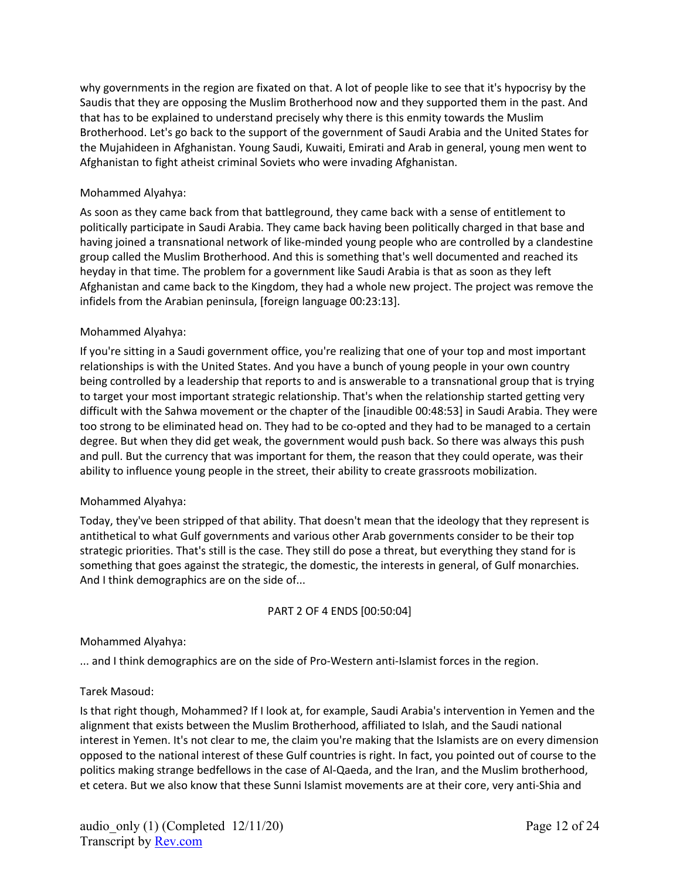why governments in the region are fixated on that. A lot of people like to see that it's hypocrisy by the Saudis that they are opposing the Muslim Brotherhood now and they supported them in the past. And that has to be explained to understand precisely why there is this enmity towards the Muslim Brotherhood. Let's go back to the support of the government of Saudi Arabia and the United States for the Mujahideen in Afghanistan. Young Saudi, Kuwaiti, Emirati and Arab in general, young men went to Afghanistan to fight atheist criminal Soviets who were invading Afghanistan.

### Mohammed Alyahya:

As soon as they came back from that battleground, they came back with a sense of entitlement to politically participate in Saudi Arabia. They came back having been politically charged in that base and having joined a transnational network of like-minded young people who are controlled by a clandestine group called the Muslim Brotherhood. And this is something that's well documented and reached its heyday in that time. The problem for a government like Saudi Arabia is that as soon as they left Afghanistan and came back to the Kingdom, they had a whole new project. The project was remove the infidels from the Arabian peninsula, [foreign language 00:23:13].

## Mohammed Alyahya:

If you're sitting in a Saudi government office, you're realizing that one of your top and most important relationships is with the United States. And you have a bunch of young people in your own country being controlled by a leadership that reports to and is answerable to a transnational group that is trying to target your most important strategic relationship. That's when the relationship started getting very difficult with the Sahwa movement or the chapter of the [inaudible 00:48:53] in Saudi Arabia. They were too strong to be eliminated head on. They had to be co-opted and they had to be managed to a certain degree. But when they did get weak, the government would push back. So there was always this push and pull. But the currency that was important for them, the reason that they could operate, was their ability to influence young people in the street, their ability to create grassroots mobilization.

#### Mohammed Alyahya:

Today, they've been stripped of that ability. That doesn't mean that the ideology that they represent is antithetical to what Gulf governments and various other Arab governments consider to be their top strategic priorities. That's still is the case. They still do pose a threat, but everything they stand for is something that goes against the strategic, the domestic, the interests in general, of Gulf monarchies. And I think demographics are on the side of...

#### PART 2 OF 4 ENDS [00:50:04]

#### Mohammed Alyahya:

... and I think demographics are on the side of Pro-Western anti-Islamist forces in the region.

#### Tarek Masoud:

Is that right though, Mohammed? If I look at, for example, Saudi Arabia's intervention in Yemen and the alignment that exists between the Muslim Brotherhood, affiliated to Islah, and the Saudi national interest in Yemen. It's not clear to me, the claim you're making that the Islamists are on every dimension opposed to the national interest of these Gulf countries is right. In fact, you pointed out of course to the politics making strange bedfellows in the case of Al-Qaeda, and the Iran, and the Muslim brotherhood, et cetera. But we also know that these Sunni Islamist movements are at their core, very anti-Shia and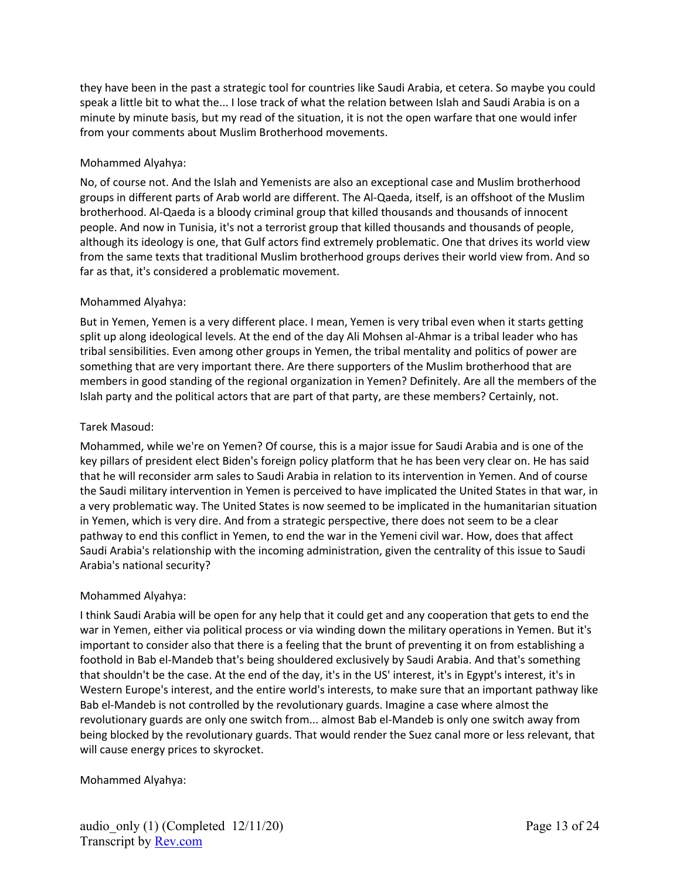they have been in the past a strategic tool for countries like Saudi Arabia, et cetera. So maybe you could speak a little bit to what the... I lose track of what the relation between Islah and Saudi Arabia is on a minute by minute basis, but my read of the situation, it is not the open warfare that one would infer from your comments about Muslim Brotherhood movements.

## Mohammed Alyahya:

No, of course not. And the Islah and Yemenists are also an exceptional case and Muslim brotherhood groups in different parts of Arab world are different. The Al-Qaeda, itself, is an offshoot of the Muslim brotherhood. Al-Qaeda is a bloody criminal group that killed thousands and thousands of innocent people. And now in Tunisia, it's not a terrorist group that killed thousands and thousands of people, although its ideology is one, that Gulf actors find extremely problematic. One that drives its world view from the same texts that traditional Muslim brotherhood groups derives their world view from. And so far as that, it's considered a problematic movement.

## Mohammed Alyahya:

But in Yemen, Yemen is a very different place. I mean, Yemen is very tribal even when it starts getting split up along ideological levels. At the end of the day Ali Mohsen al-Ahmar is a tribal leader who has tribal sensibilities. Even among other groups in Yemen, the tribal mentality and politics of power are something that are very important there. Are there supporters of the Muslim brotherhood that are members in good standing of the regional organization in Yemen? Definitely. Are all the members of the Islah party and the political actors that are part of that party, are these members? Certainly, not.

## Tarek Masoud:

Mohammed, while we're on Yemen? Of course, this is a major issue for Saudi Arabia and is one of the key pillars of president elect Biden's foreign policy platform that he has been very clear on. He has said that he will reconsider arm sales to Saudi Arabia in relation to its intervention in Yemen. And of course the Saudi military intervention in Yemen is perceived to have implicated the United States in that war, in a very problematic way. The United States is now seemed to be implicated in the humanitarian situation in Yemen, which is very dire. And from a strategic perspective, there does not seem to be a clear pathway to end this conflict in Yemen, to end the war in the Yemeni civil war. How, does that affect Saudi Arabia's relationship with the incoming administration, given the centrality of this issue to Saudi Arabia's national security?

# Mohammed Alyahya:

I think Saudi Arabia will be open for any help that it could get and any cooperation that gets to end the war in Yemen, either via political process or via winding down the military operations in Yemen. But it's important to consider also that there is a feeling that the brunt of preventing it on from establishing a foothold in Bab el-Mandeb that's being shouldered exclusively by Saudi Arabia. And that's something that shouldn't be the case. At the end of the day, it's in the US' interest, it's in Egypt's interest, it's in Western Europe's interest, and the entire world's interests, to make sure that an important pathway like Bab el-Mandeb is not controlled by the revolutionary guards. Imagine a case where almost the revolutionary guards are only one switch from... almost Bab el-Mandeb is only one switch away from being blocked by the revolutionary guards. That would render the Suez canal more or less relevant, that will cause energy prices to skyrocket.

# Mohammed Alyahya: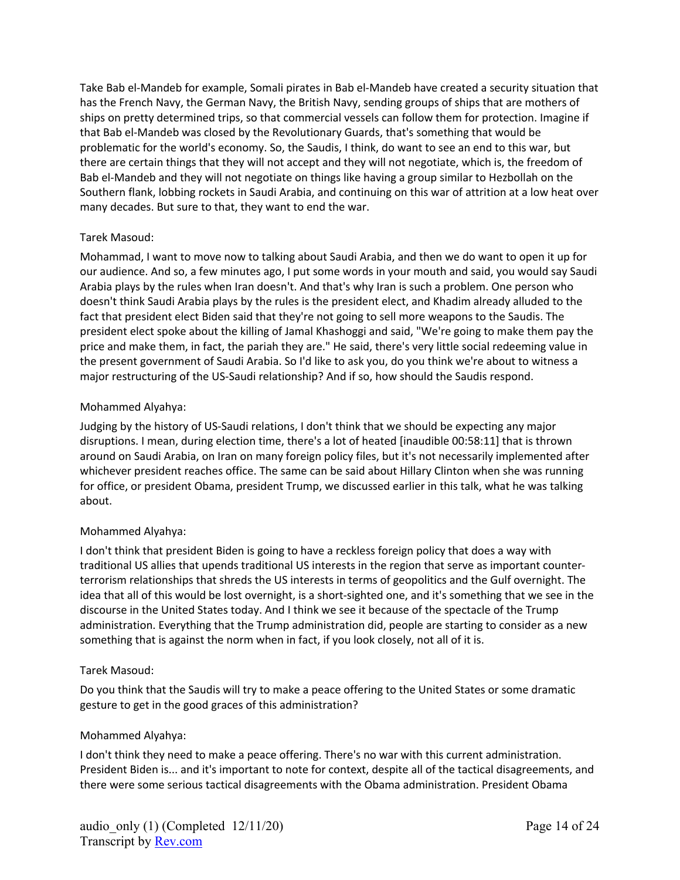Take Bab el-Mandeb for example, Somali pirates in Bab el-Mandeb have created a security situation that has the French Navy, the German Navy, the British Navy, sending groups of ships that are mothers of ships on pretty determined trips, so that commercial vessels can follow them for protection. Imagine if that Bab el-Mandeb was closed by the Revolutionary Guards, that's something that would be problematic for the world's economy. So, the Saudis, I think, do want to see an end to this war, but there are certain things that they will not accept and they will not negotiate, which is, the freedom of Bab el-Mandeb and they will not negotiate on things like having a group similar to Hezbollah on the Southern flank, lobbing rockets in Saudi Arabia, and continuing on this war of attrition at a low heat over many decades. But sure to that, they want to end the war.

## Tarek Masoud:

Mohammad, I want to move now to talking about Saudi Arabia, and then we do want to open it up for our audience. And so, a few minutes ago, I put some words in your mouth and said, you would say Saudi Arabia plays by the rules when Iran doesn't. And that's why Iran is such a problem. One person who doesn't think Saudi Arabia plays by the rules is the president elect, and Khadim already alluded to the fact that president elect Biden said that they're not going to sell more weapons to the Saudis. The president elect spoke about the killing of Jamal Khashoggi and said, "We're going to make them pay the price and make them, in fact, the pariah they are." He said, there's very little social redeeming value in the present government of Saudi Arabia. So I'd like to ask you, do you think we're about to witness a major restructuring of the US-Saudi relationship? And if so, how should the Saudis respond.

## Mohammed Alyahya:

Judging by the history of US-Saudi relations, I don't think that we should be expecting any major disruptions. I mean, during election time, there's a lot of heated [inaudible 00:58:11] that is thrown around on Saudi Arabia, on Iran on many foreign policy files, but it's not necessarily implemented after whichever president reaches office. The same can be said about Hillary Clinton when she was running for office, or president Obama, president Trump, we discussed earlier in this talk, what he was talking about.

# Mohammed Alyahya:

I don't think that president Biden is going to have a reckless foreign policy that does a way with traditional US allies that upends traditional US interests in the region that serve as important counterterrorism relationships that shreds the US interests in terms of geopolitics and the Gulf overnight. The idea that all of this would be lost overnight, is a short-sighted one, and it's something that we see in the discourse in the United States today. And I think we see it because of the spectacle of the Trump administration. Everything that the Trump administration did, people are starting to consider as a new something that is against the norm when in fact, if you look closely, not all of it is.

#### Tarek Masoud:

Do you think that the Saudis will try to make a peace offering to the United States or some dramatic gesture to get in the good graces of this administration?

#### Mohammed Alyahya:

I don't think they need to make a peace offering. There's no war with this current administration. President Biden is... and it's important to note for context, despite all of the tactical disagreements, and there were some serious tactical disagreements with the Obama administration. President Obama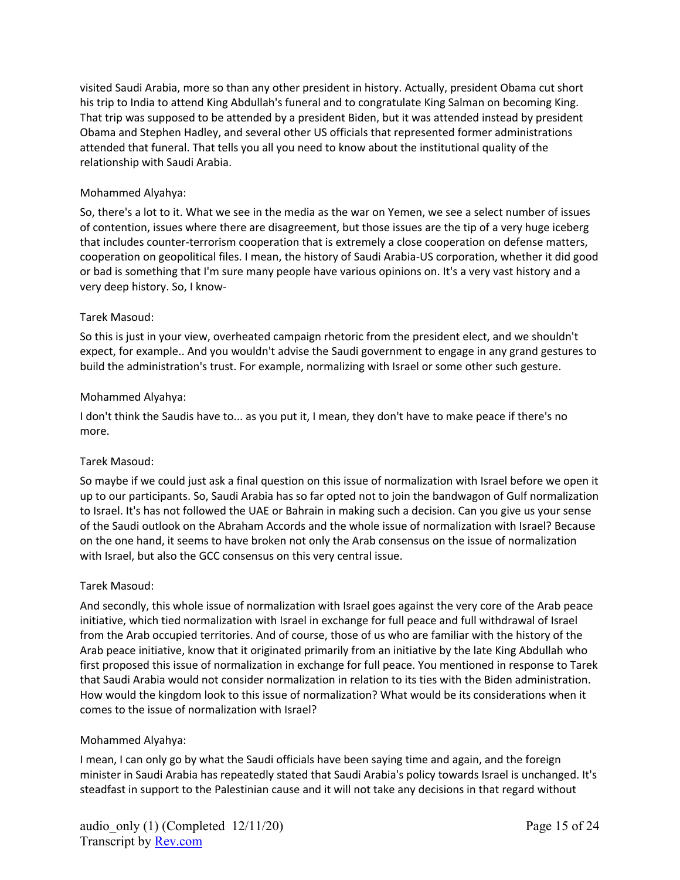visited Saudi Arabia, more so than any other president in history. Actually, president Obama cut short his trip to India to attend King Abdullah's funeral and to congratulate King Salman on becoming King. That trip was supposed to be attended by a president Biden, but it was attended instead by president Obama and Stephen Hadley, and several other US officials that represented former administrations attended that funeral. That tells you all you need to know about the institutional quality of the relationship with Saudi Arabia.

#### Mohammed Alyahya:

So, there's a lot to it. What we see in the media as the war on Yemen, we see a select number of issues of contention, issues where there are disagreement, but those issues are the tip of a very huge iceberg that includes counter-terrorism cooperation that is extremely a close cooperation on defense matters, cooperation on geopolitical files. I mean, the history of Saudi Arabia-US corporation, whether it did good or bad is something that I'm sure many people have various opinions on. It's a very vast history and a very deep history. So, I know-

#### Tarek Masoud:

So this is just in your view, overheated campaign rhetoric from the president elect, and we shouldn't expect, for example.. And you wouldn't advise the Saudi government to engage in any grand gestures to build the administration's trust. For example, normalizing with Israel or some other such gesture.

#### Mohammed Alyahya:

I don't think the Saudis have to... as you put it, I mean, they don't have to make peace if there's no more.

#### Tarek Masoud:

So maybe if we could just ask a final question on this issue of normalization with Israel before we open it up to our participants. So, Saudi Arabia has so far opted not to join the bandwagon of Gulf normalization to Israel. It's has not followed the UAE or Bahrain in making such a decision. Can you give us your sense of the Saudi outlook on the Abraham Accords and the whole issue of normalization with Israel? Because on the one hand, it seems to have broken not only the Arab consensus on the issue of normalization with Israel, but also the GCC consensus on this very central issue.

#### Tarek Masoud:

And secondly, this whole issue of normalization with Israel goes against the very core of the Arab peace initiative, which tied normalization with Israel in exchange for full peace and full withdrawal of Israel from the Arab occupied territories. And of course, those of us who are familiar with the history of the Arab peace initiative, know that it originated primarily from an initiative by the late King Abdullah who first proposed this issue of normalization in exchange for full peace. You mentioned in response to Tarek that Saudi Arabia would not consider normalization in relation to its ties with the Biden administration. How would the kingdom look to this issue of normalization? What would be its considerations when it comes to the issue of normalization with Israel?

#### Mohammed Alyahya:

I mean, I can only go by what the Saudi officials have been saying time and again, and the foreign minister in Saudi Arabia has repeatedly stated that Saudi Arabia's policy towards Israel is unchanged. It's steadfast in support to the Palestinian cause and it will not take any decisions in that regard without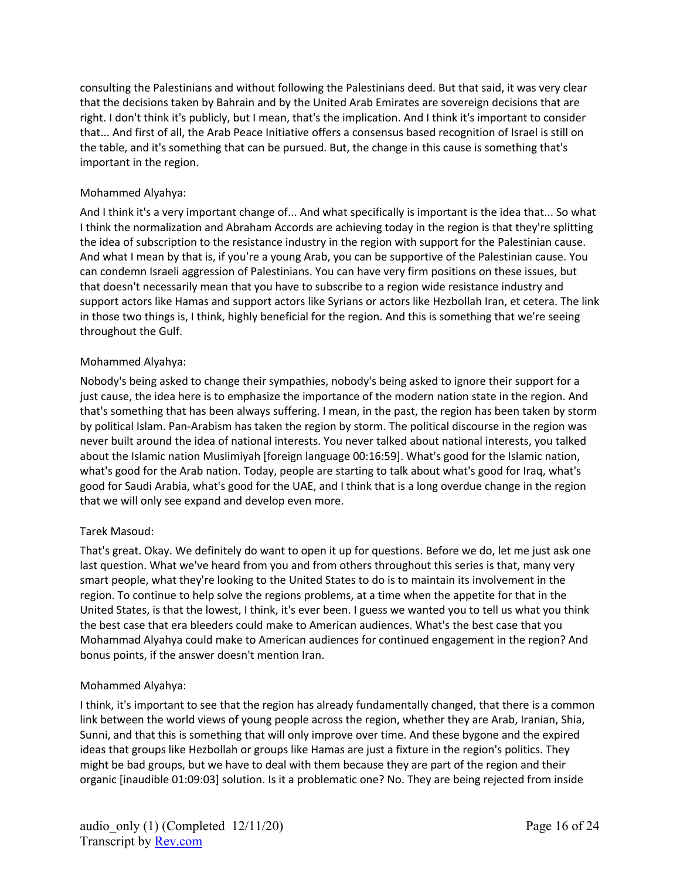consulting the Palestinians and without following the Palestinians deed. But that said, it was very clear that the decisions taken by Bahrain and by the United Arab Emirates are sovereign decisions that are right. I don't think it's publicly, but I mean, that's the implication. And I think it's important to consider that... And first of all, the Arab Peace Initiative offers a consensus based recognition of Israel is still on the table, and it's something that can be pursued. But, the change in this cause is something that's important in the region.

#### Mohammed Alyahya:

And I think it's a very important change of... And what specifically is important is the idea that... So what I think the normalization and Abraham Accords are achieving today in the region is that they're splitting the idea of subscription to the resistance industry in the region with support for the Palestinian cause. And what I mean by that is, if you're a young Arab, you can be supportive of the Palestinian cause. You can condemn Israeli aggression of Palestinians. You can have very firm positions on these issues, but that doesn't necessarily mean that you have to subscribe to a region wide resistance industry and support actors like Hamas and support actors like Syrians or actors like Hezbollah Iran, et cetera. The link in those two things is, I think, highly beneficial for the region. And this is something that we're seeing throughout the Gulf.

#### Mohammed Alyahya:

Nobody's being asked to change their sympathies, nobody's being asked to ignore their support for a just cause, the idea here is to emphasize the importance of the modern nation state in the region. And that's something that has been always suffering. I mean, in the past, the region has been taken by storm by political Islam. Pan-Arabism has taken the region by storm. The political discourse in the region was never built around the idea of national interests. You never talked about national interests, you talked about the Islamic nation Muslimiyah [foreign language 00:16:59]. What's good for the Islamic nation, what's good for the Arab nation. Today, people are starting to talk about what's good for Iraq, what's good for Saudi Arabia, what's good for the UAE, and I think that is a long overdue change in the region that we will only see expand and develop even more.

#### Tarek Masoud:

That's great. Okay. We definitely do want to open it up for questions. Before we do, let me just ask one last question. What we've heard from you and from others throughout this series is that, many very smart people, what they're looking to the United States to do is to maintain its involvement in the region. To continue to help solve the regions problems, at a time when the appetite for that in the United States, is that the lowest, I think, it's ever been. I guess we wanted you to tell us what you think the best case that era bleeders could make to American audiences. What's the best case that you Mohammad Alyahya could make to American audiences for continued engagement in the region? And bonus points, if the answer doesn't mention Iran.

#### Mohammed Alyahya:

I think, it's important to see that the region has already fundamentally changed, that there is a common link between the world views of young people across the region, whether they are Arab, Iranian, Shia, Sunni, and that this is something that will only improve over time. And these bygone and the expired ideas that groups like Hezbollah or groups like Hamas are just a fixture in the region's politics. They might be bad groups, but we have to deal with them because they are part of the region and their organic [inaudible 01:09:03] solution. Is it a problematic one? No. They are being rejected from inside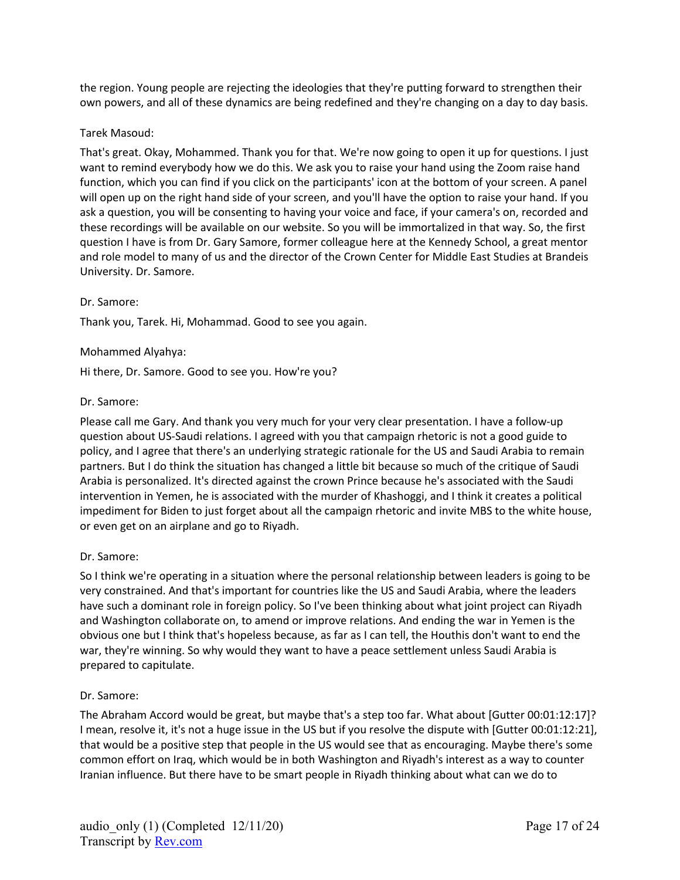the region. Young people are rejecting the ideologies that they're putting forward to strengthen their own powers, and all of these dynamics are being redefined and they're changing on a day to day basis.

#### Tarek Masoud:

That's great. Okay, Mohammed. Thank you for that. We're now going to open it up for questions. I just want to remind everybody how we do this. We ask you to raise your hand using the Zoom raise hand function, which you can find if you click on the participants' icon at the bottom of your screen. A panel will open up on the right hand side of your screen, and you'll have the option to raise your hand. If you ask a question, you will be consenting to having your voice and face, if your camera's on, recorded and these recordings will be available on our website. So you will be immortalized in that way. So, the first question I have is from Dr. Gary Samore, former colleague here at the Kennedy School, a great mentor and role model to many of us and the director of the Crown Center for Middle East Studies at Brandeis University. Dr. Samore.

#### Dr. Samore:

Thank you, Tarek. Hi, Mohammad. Good to see you again.

## Mohammed Alyahya:

Hi there, Dr. Samore. Good to see you. How're you?

## Dr. Samore:

Please call me Gary. And thank you very much for your very clear presentation. I have a follow-up question about US-Saudi relations. I agreed with you that campaign rhetoric is not a good guide to policy, and I agree that there's an underlying strategic rationale for the US and Saudi Arabia to remain partners. But I do think the situation has changed a little bit because so much of the critique of Saudi Arabia is personalized. It's directed against the crown Prince because he's associated with the Saudi intervention in Yemen, he is associated with the murder of Khashoggi, and I think it creates a political impediment for Biden to just forget about all the campaign rhetoric and invite MBS to the white house, or even get on an airplane and go to Riyadh.

# Dr. Samore:

So I think we're operating in a situation where the personal relationship between leaders is going to be very constrained. And that's important for countries like the US and Saudi Arabia, where the leaders have such a dominant role in foreign policy. So I've been thinking about what joint project can Riyadh and Washington collaborate on, to amend or improve relations. And ending the war in Yemen is the obvious one but I think that's hopeless because, as far as I can tell, the Houthis don't want to end the war, they're winning. So why would they want to have a peace settlement unless Saudi Arabia is prepared to capitulate.

#### Dr. Samore:

The Abraham Accord would be great, but maybe that's a step too far. What about [Gutter 00:01:12:17]? I mean, resolve it, it's not a huge issue in the US but if you resolve the dispute with [Gutter 00:01:12:21], that would be a positive step that people in the US would see that as encouraging. Maybe there's some common effort on Iraq, which would be in both Washington and Riyadh's interest as a way to counter Iranian influence. But there have to be smart people in Riyadh thinking about what can we do to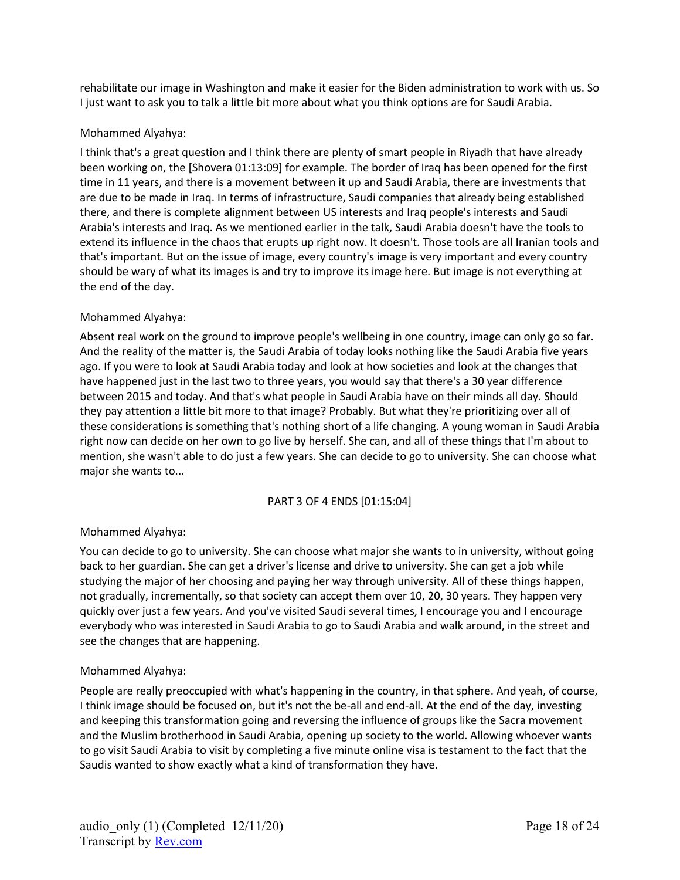rehabilitate our image in Washington and make it easier for the Biden administration to work with us. So I just want to ask you to talk a little bit more about what you think options are for Saudi Arabia.

## Mohammed Alyahya:

I think that's a great question and I think there are plenty of smart people in Riyadh that have already been working on, the [Shovera 01:13:09] for example. The border of Iraq has been opened for the first time in 11 years, and there is a movement between it up and Saudi Arabia, there are investments that are due to be made in Iraq. In terms of infrastructure, Saudi companies that already being established there, and there is complete alignment between US interests and Iraq people's interests and Saudi Arabia's interests and Iraq. As we mentioned earlier in the talk, Saudi Arabia doesn't have the tools to extend its influence in the chaos that erupts up right now. It doesn't. Those tools are all Iranian tools and that's important. But on the issue of image, every country's image is very important and every country should be wary of what its images is and try to improve its image here. But image is not everything at the end of the day.

## Mohammed Alyahya:

Absent real work on the ground to improve people's wellbeing in one country, image can only go so far. And the reality of the matter is, the Saudi Arabia of today looks nothing like the Saudi Arabia five years ago. If you were to look at Saudi Arabia today and look at how societies and look at the changes that have happened just in the last two to three years, you would say that there's a 30 year difference between 2015 and today. And that's what people in Saudi Arabia have on their minds all day. Should they pay attention a little bit more to that image? Probably. But what they're prioritizing over all of these considerations is something that's nothing short of a life changing. A young woman in Saudi Arabia right now can decide on her own to go live by herself. She can, and all of these things that I'm about to mention, she wasn't able to do just a few years. She can decide to go to university. She can choose what major she wants to...

# PART 3 OF 4 ENDS [01:15:04]

# Mohammed Alyahya:

You can decide to go to university. She can choose what major she wants to in university, without going back to her guardian. She can get a driver's license and drive to university. She can get a job while studying the major of her choosing and paying her way through university. All of these things happen, not gradually, incrementally, so that society can accept them over 10, 20, 30 years. They happen very quickly over just a few years. And you've visited Saudi several times, I encourage you and I encourage everybody who was interested in Saudi Arabia to go to Saudi Arabia and walk around, in the street and see the changes that are happening.

#### Mohammed Alyahya:

People are really preoccupied with what's happening in the country, in that sphere. And yeah, of course, I think image should be focused on, but it's not the be-all and end-all. At the end of the day, investing and keeping this transformation going and reversing the influence of groups like the Sacra movement and the Muslim brotherhood in Saudi Arabia, opening up society to the world. Allowing whoever wants to go visit Saudi Arabia to visit by completing a five minute online visa is testament to the fact that the Saudis wanted to show exactly what a kind of transformation they have.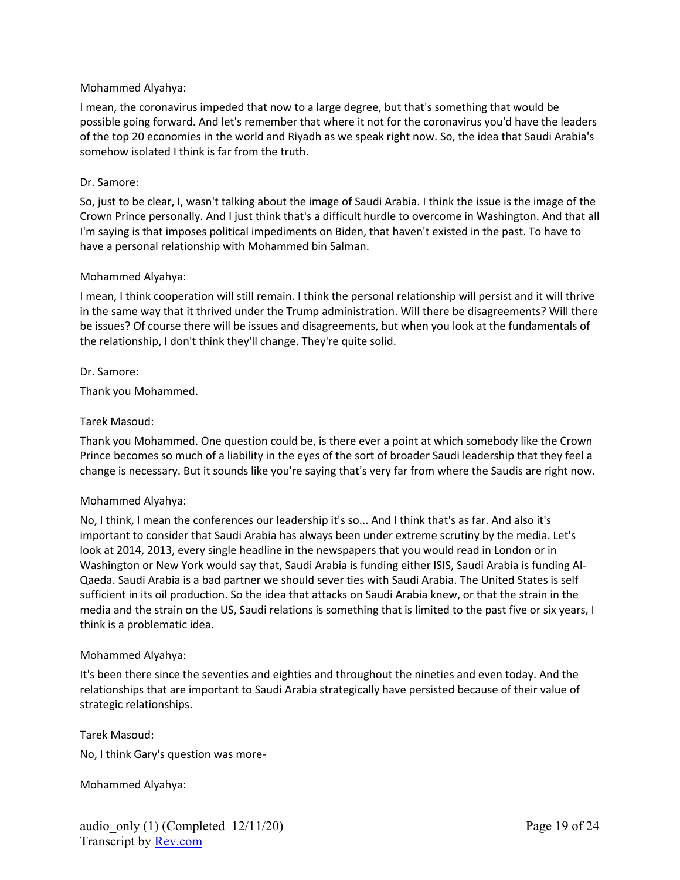#### Mohammed Alyahya:

I mean, the coronavirus impeded that now to a large degree, but that's something that would be possible going forward. And let's remember that where it not for the coronavirus you'd have the leaders of the top 20 economies in the world and Riyadh as we speak right now. So, the idea that Saudi Arabia's somehow isolated I think is far from the truth.

#### Dr. Samore:

So, just to be clear, I, wasn't talking about the image of Saudi Arabia. I think the issue is the image of the Crown Prince personally. And I just think that's a difficult hurdle to overcome in Washington. And that all I'm saying is that imposes political impediments on Biden, that haven't existed in the past. To have to have a personal relationship with Mohammed bin Salman.

#### Mohammed Alyahya:

I mean, I think cooperation will still remain. I think the personal relationship will persist and it will thrive in the same way that it thrived under the Trump administration. Will there be disagreements? Will there be issues? Of course there will be issues and disagreements, but when you look at the fundamentals of the relationship, I don't think they'll change. They're quite solid.

#### Dr. Samore:

Thank you Mohammed.

## Tarek Masoud:

Thank you Mohammed. One question could be, is there ever a point at which somebody like the Crown Prince becomes so much of a liability in the eyes of the sort of broader Saudi leadership that they feel a change is necessary. But it sounds like you're saying that's very far from where the Saudis are right now.

#### Mohammed Alyahya:

No, I think, I mean the conferences our leadership it's so... And I think that's as far. And also it's important to consider that Saudi Arabia has always been under extreme scrutiny by the media. Let's look at 2014, 2013, every single headline in the newspapers that you would read in London or in Washington or New York would say that, Saudi Arabia is funding either ISIS, Saudi Arabia is funding Al-Qaeda. Saudi Arabia is a bad partner we should sever ties with Saudi Arabia. The United States is self sufficient in its oil production. So the idea that attacks on Saudi Arabia knew, or that the strain in the media and the strain on the US, Saudi relations is something that is limited to the past five or six years, I think is a problematic idea.

#### Mohammed Alyahya:

It's been there since the seventies and eighties and throughout the nineties and even today. And the relationships that are important to Saudi Arabia strategically have persisted because of their value of strategic relationships.

Tarek Masoud: No, I think Gary's question was more-

Mohammed Alyahya: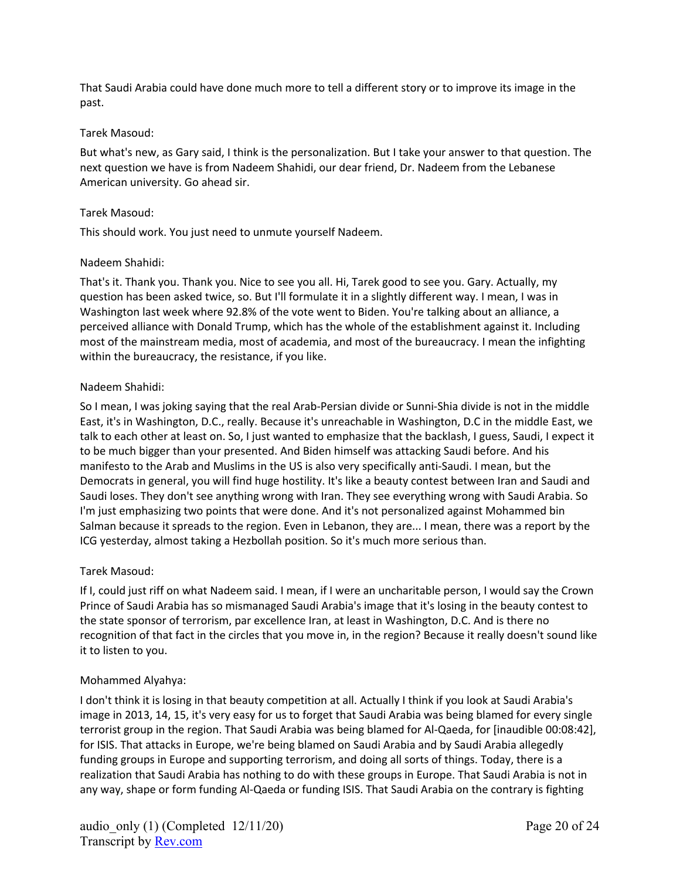That Saudi Arabia could have done much more to tell a different story or to improve its image in the past.

#### Tarek Masoud:

But what's new, as Gary said, I think is the personalization. But I take your answer to that question. The next question we have is from Nadeem Shahidi, our dear friend, Dr. Nadeem from the Lebanese American university. Go ahead sir.

#### Tarek Masoud:

This should work. You just need to unmute yourself Nadeem.

#### Nadeem Shahidi:

That's it. Thank you. Thank you. Nice to see you all. Hi, Tarek good to see you. Gary. Actually, my question has been asked twice, so. But I'll formulate it in a slightly different way. I mean, I was in Washington last week where 92.8% of the vote went to Biden. You're talking about an alliance, a perceived alliance with Donald Trump, which has the whole of the establishment against it. Including most of the mainstream media, most of academia, and most of the bureaucracy. I mean the infighting within the bureaucracy, the resistance, if you like.

#### Nadeem Shahidi:

So I mean, I was joking saying that the real Arab-Persian divide or Sunni-Shia divide is not in the middle East, it's in Washington, D.C., really. Because it's unreachable in Washington, D.C in the middle East, we talk to each other at least on. So, I just wanted to emphasize that the backlash, I guess, Saudi, I expect it to be much bigger than your presented. And Biden himself was attacking Saudi before. And his manifesto to the Arab and Muslims in the US is also very specifically anti-Saudi. I mean, but the Democrats in general, you will find huge hostility. It's like a beauty contest between Iran and Saudi and Saudi loses. They don't see anything wrong with Iran. They see everything wrong with Saudi Arabia. So I'm just emphasizing two points that were done. And it's not personalized against Mohammed bin Salman because it spreads to the region. Even in Lebanon, they are... I mean, there was a report by the ICG yesterday, almost taking a Hezbollah position. So it's much more serious than.

#### Tarek Masoud:

If I, could just riff on what Nadeem said. I mean, if I were an uncharitable person, I would say the Crown Prince of Saudi Arabia has so mismanaged Saudi Arabia's image that it's losing in the beauty contest to the state sponsor of terrorism, par excellence Iran, at least in Washington, D.C. And is there no recognition of that fact in the circles that you move in, in the region? Because it really doesn't sound like it to listen to you.

#### Mohammed Alyahya:

I don't think it is losing in that beauty competition at all. Actually I think if you look at Saudi Arabia's image in 2013, 14, 15, it's very easy for us to forget that Saudi Arabia was being blamed for every single terrorist group in the region. That Saudi Arabia was being blamed for Al-Qaeda, for [inaudible 00:08:42], for ISIS. That attacks in Europe, we're being blamed on Saudi Arabia and by Saudi Arabia allegedly funding groups in Europe and supporting terrorism, and doing all sorts of things. Today, there is a realization that Saudi Arabia has nothing to do with these groups in Europe. That Saudi Arabia is not in any way, shape or form funding Al-Qaeda or funding ISIS. That Saudi Arabia on the contrary is fighting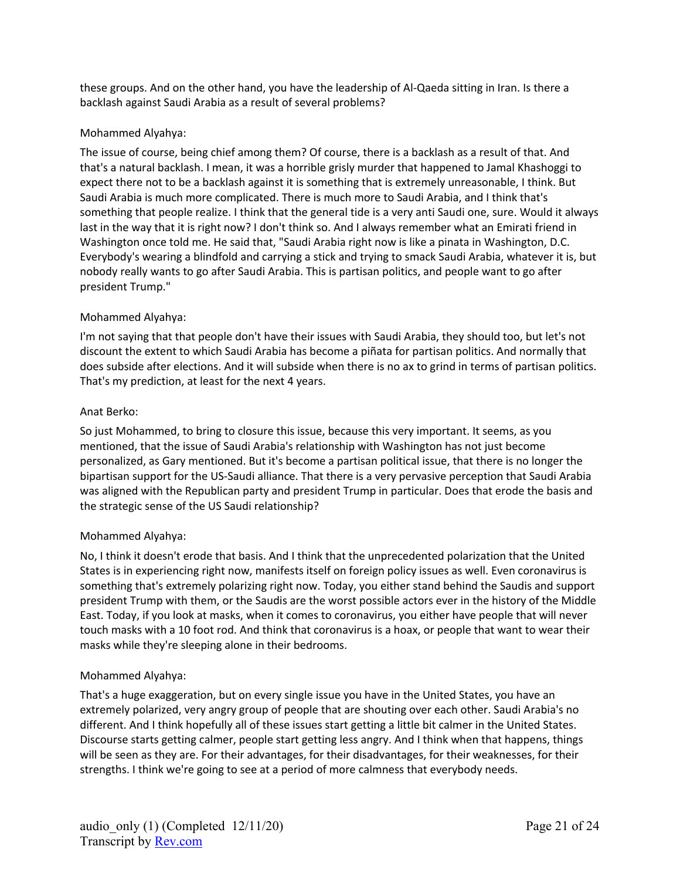these groups. And on the other hand, you have the leadership of Al-Qaeda sitting in Iran. Is there a backlash against Saudi Arabia as a result of several problems?

## Mohammed Alyahya:

The issue of course, being chief among them? Of course, there is a backlash as a result of that. And that's a natural backlash. I mean, it was a horrible grisly murder that happened to Jamal Khashoggi to expect there not to be a backlash against it is something that is extremely unreasonable, I think. But Saudi Arabia is much more complicated. There is much more to Saudi Arabia, and I think that's something that people realize. I think that the general tide is a very anti Saudi one, sure. Would it always last in the way that it is right now? I don't think so. And I always remember what an Emirati friend in Washington once told me. He said that, "Saudi Arabia right now is like a pinata in Washington, D.C. Everybody's wearing a blindfold and carrying a stick and trying to smack Saudi Arabia, whatever it is, but nobody really wants to go after Saudi Arabia. This is partisan politics, and people want to go after president Trump."

## Mohammed Alyahya:

I'm not saying that that people don't have their issues with Saudi Arabia, they should too, but let's not discount the extent to which Saudi Arabia has become a piñata for partisan politics. And normally that does subside after elections. And it will subside when there is no ax to grind in terms of partisan politics. That's my prediction, at least for the next 4 years.

#### Anat Berko:

So just Mohammed, to bring to closure this issue, because this very important. It seems, as you mentioned, that the issue of Saudi Arabia's relationship with Washington has not just become personalized, as Gary mentioned. But it's become a partisan political issue, that there is no longer the bipartisan support for the US-Saudi alliance. That there is a very pervasive perception that Saudi Arabia was aligned with the Republican party and president Trump in particular. Does that erode the basis and the strategic sense of the US Saudi relationship?

# Mohammed Alyahya:

No, I think it doesn't erode that basis. And I think that the unprecedented polarization that the United States is in experiencing right now, manifests itself on foreign policy issues as well. Even coronavirus is something that's extremely polarizing right now. Today, you either stand behind the Saudis and support president Trump with them, or the Saudis are the worst possible actors ever in the history of the Middle East. Today, if you look at masks, when it comes to coronavirus, you either have people that will never touch masks with a 10 foot rod. And think that coronavirus is a hoax, or people that want to wear their masks while they're sleeping alone in their bedrooms.

#### Mohammed Alyahya:

That's a huge exaggeration, but on every single issue you have in the United States, you have an extremely polarized, very angry group of people that are shouting over each other. Saudi Arabia's no different. And I think hopefully all of these issues start getting a little bit calmer in the United States. Discourse starts getting calmer, people start getting less angry. And I think when that happens, things will be seen as they are. For their advantages, for their disadvantages, for their weaknesses, for their strengths. I think we're going to see at a period of more calmness that everybody needs.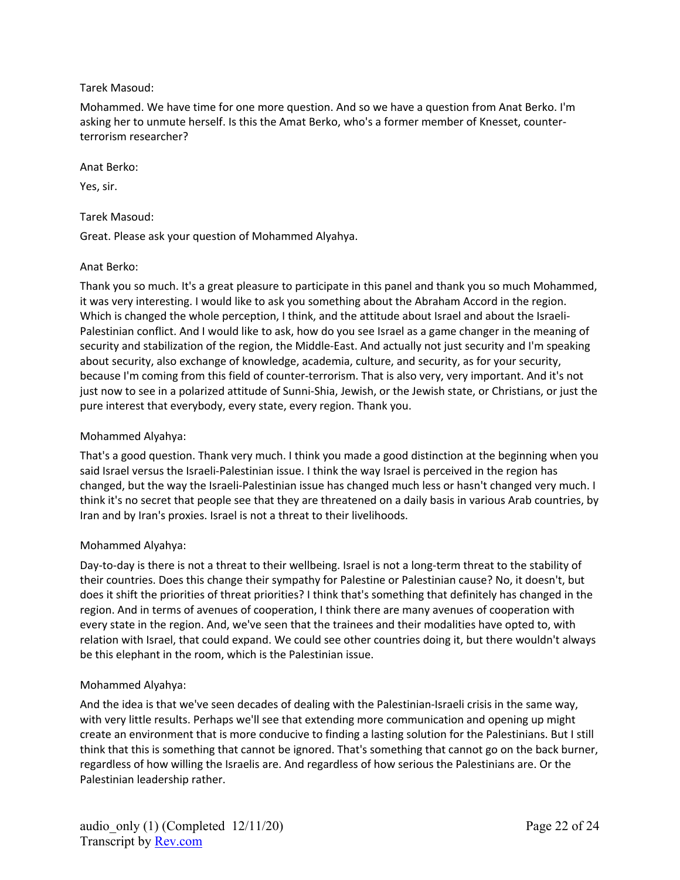### Tarek Masoud:

Mohammed. We have time for one more question. And so we have a question from Anat Berko. I'm asking her to unmute herself. Is this the Amat Berko, who's a former member of Knesset, counterterrorism researcher?

#### Anat Berko:

Yes, sir.

### Tarek Masoud:

Great. Please ask your question of Mohammed Alyahya.

## Anat Berko:

Thank you so much. It's a great pleasure to participate in this panel and thank you so much Mohammed, it was very interesting. I would like to ask you something about the Abraham Accord in the region. Which is changed the whole perception, I think, and the attitude about Israel and about the Israeli-Palestinian conflict. And I would like to ask, how do you see Israel as a game changer in the meaning of security and stabilization of the region, the Middle-East. And actually not just security and I'm speaking about security, also exchange of knowledge, academia, culture, and security, as for your security, because I'm coming from this field of counter-terrorism. That is also very, very important. And it's not just now to see in a polarized attitude of Sunni-Shia, Jewish, or the Jewish state, or Christians, or just the pure interest that everybody, every state, every region. Thank you.

## Mohammed Alyahya:

That's a good question. Thank very much. I think you made a good distinction at the beginning when you said Israel versus the Israeli-Palestinian issue. I think the way Israel is perceived in the region has changed, but the way the Israeli-Palestinian issue has changed much less or hasn't changed very much. I think it's no secret that people see that they are threatened on a daily basis in various Arab countries, by Iran and by Iran's proxies. Israel is not a threat to their livelihoods.

#### Mohammed Alyahya:

Day-to-day is there is not a threat to their wellbeing. Israel is not a long-term threat to the stability of their countries. Does this change their sympathy for Palestine or Palestinian cause? No, it doesn't, but does it shift the priorities of threat priorities? I think that's something that definitely has changed in the region. And in terms of avenues of cooperation, I think there are many avenues of cooperation with every state in the region. And, we've seen that the trainees and their modalities have opted to, with relation with Israel, that could expand. We could see other countries doing it, but there wouldn't always be this elephant in the room, which is the Palestinian issue.

#### Mohammed Alyahya:

And the idea is that we've seen decades of dealing with the Palestinian-Israeli crisis in the same way, with very little results. Perhaps we'll see that extending more communication and opening up might create an environment that is more conducive to finding a lasting solution for the Palestinians. But I still think that this is something that cannot be ignored. That's something that cannot go on the back burner, regardless of how willing the Israelis are. And regardless of how serious the Palestinians are. Or the Palestinian leadership rather.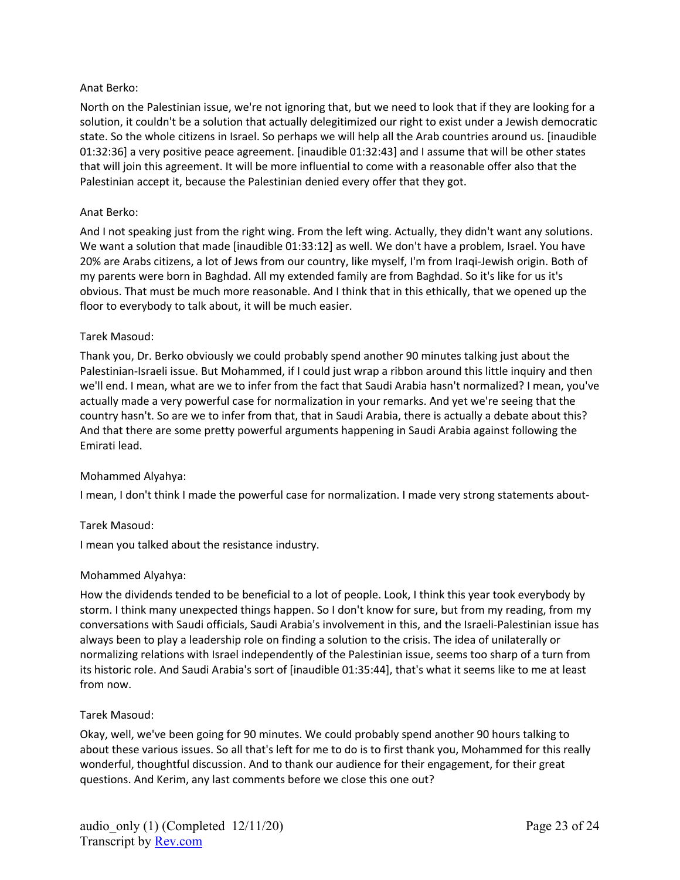### Anat Berko:

North on the Palestinian issue, we're not ignoring that, but we need to look that if they are looking for a solution, it couldn't be a solution that actually delegitimized our right to exist under a Jewish democratic state. So the whole citizens in Israel. So perhaps we will help all the Arab countries around us. [inaudible 01:32:36] a very positive peace agreement. [inaudible 01:32:43] and I assume that will be other states that will join this agreement. It will be more influential to come with a reasonable offer also that the Palestinian accept it, because the Palestinian denied every offer that they got.

#### Anat Berko:

And I not speaking just from the right wing. From the left wing. Actually, they didn't want any solutions. We want a solution that made [inaudible 01:33:12] as well. We don't have a problem, Israel. You have 20% are Arabs citizens, a lot of Jews from our country, like myself, I'm from Iraqi-Jewish origin. Both of my parents were born in Baghdad. All my extended family are from Baghdad. So it's like for us it's obvious. That must be much more reasonable. And I think that in this ethically, that we opened up the floor to everybody to talk about, it will be much easier.

#### Tarek Masoud:

Thank you, Dr. Berko obviously we could probably spend another 90 minutes talking just about the Palestinian-Israeli issue. But Mohammed, if I could just wrap a ribbon around this little inquiry and then we'll end. I mean, what are we to infer from the fact that Saudi Arabia hasn't normalized? I mean, you've actually made a very powerful case for normalization in your remarks. And yet we're seeing that the country hasn't. So are we to infer from that, that in Saudi Arabia, there is actually a debate about this? And that there are some pretty powerful arguments happening in Saudi Arabia against following the Emirati lead.

#### Mohammed Alyahya:

I mean, I don't think I made the powerful case for normalization. I made very strong statements about-

#### Tarek Masoud:

I mean you talked about the resistance industry.

#### Mohammed Alyahya:

How the dividends tended to be beneficial to a lot of people. Look, I think this year took everybody by storm. I think many unexpected things happen. So I don't know for sure, but from my reading, from my conversations with Saudi officials, Saudi Arabia's involvement in this, and the Israeli-Palestinian issue has always been to play a leadership role on finding a solution to the crisis. The idea of unilaterally or normalizing relations with Israel independently of the Palestinian issue, seems too sharp of a turn from its historic role. And Saudi Arabia's sort of [inaudible 01:35:44], that's what it seems like to me at least from now.

#### Tarek Masoud:

Okay, well, we've been going for 90 minutes. We could probably spend another 90 hours talking to about these various issues. So all that's left for me to do is to first thank you, Mohammed for this really wonderful, thoughtful discussion. And to thank our audience for their engagement, for their great questions. And Kerim, any last comments before we close this one out?